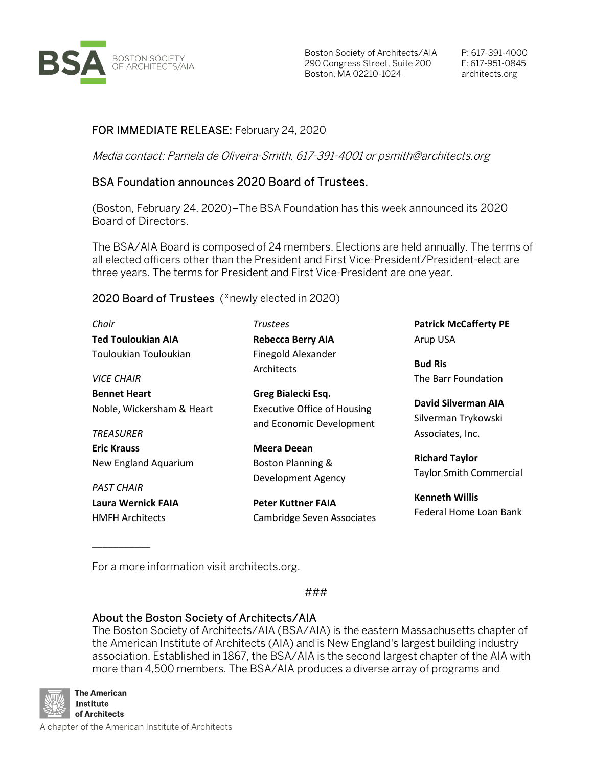

Boston Society of Architects/AIA P: 617-391-4000 290 Congress Street, Suite 200 F: 617-951-0845 Boston, MA 02210-1024 architects.org

## FOR IMMEDIATE RELEASE: February 24, 2020

Media contact: Pamela de Oliveira-Smith, 617-391-4001 o[r psmith@architects.org](mailto:psmith@architects.org)

## BSA Foundation announces 2020 Board of Trustees.

(Boston, February 24, 2020)–The BSA Foundation has this week announced its 2020 Board of Directors.

The BSA/AIA Board is composed of 24 members. Elections are held annually. The terms of all elected officers other than the President and First Vice-President/President-elect are three years. The terms for President and First Vice-President are one year.

## 2020 Board of Trustees (\*newly elected in 2020)

| Chair                                                                | <b>Trustees</b>                                                                      | <b>Patrick McCafferty PE</b>                                   |
|----------------------------------------------------------------------|--------------------------------------------------------------------------------------|----------------------------------------------------------------|
| <b>Ted Touloukian AIA</b>                                            | <b>Rebecca Berry AIA</b>                                                             | Arup USA                                                       |
| Touloukian Touloukian<br><b>VICE CHAIR</b>                           | <b>Finegold Alexander</b><br>Architects                                              | <b>Bud Ris</b><br>The Barr Foundation                          |
| <b>Bennet Heart</b><br>Noble, Wickersham & Heart<br><b>TREASURER</b> | Greg Bialecki Esq.<br><b>Executive Office of Housing</b><br>and Economic Development | David Silverman AIA<br>Silverman Trykowski<br>Associates, Inc. |
| <b>Eric Krauss</b><br>New England Aquarium                           | <b>Meera Deean</b><br>Boston Planning &<br>Development Agency                        | <b>Richard Taylor</b><br><b>Taylor Smith Commercial</b>        |
| <b>PAST CHAIR</b><br>Laura Wernick FAIA<br><b>HMFH Architects</b>    | <b>Peter Kuttner FAIA</b><br>Cambridge Seven Associates                              | <b>Kenneth Willis</b><br>Federal Home Loan Bank                |

For a more information visit architects.org.

###

## About the Boston Society of Architects/AIA

The Boston Society of Architects/AIA (BSA/AIA) is the eastern Massachusetts chapter of the American Institute of Architects (AIA) and is New England's largest building industry association. Established in 1867, the BSA/AIA is the second largest chapter of the AIA with more than 4,500 members. The BSA/AIA produces a diverse array of programs and



\_\_\_\_\_\_\_\_\_\_\_